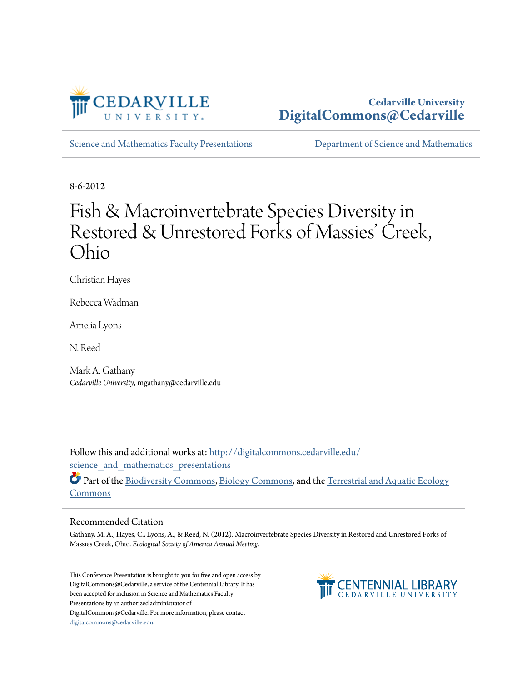

#### **Cedarville University [DigitalCommons@Cedarville](http://digitalcommons.cedarville.edu?utm_source=digitalcommons.cedarville.edu%2Fscience_and_mathematics_presentations%2F107&utm_medium=PDF&utm_campaign=PDFCoverPages)**

[Science and Mathematics Faculty Presentations](http://digitalcommons.cedarville.edu/science_and_mathematics_presentations?utm_source=digitalcommons.cedarville.edu%2Fscience_and_mathematics_presentations%2F107&utm_medium=PDF&utm_campaign=PDFCoverPages) [Department of Science and Mathematics](http://digitalcommons.cedarville.edu/science_and_mathematics?utm_source=digitalcommons.cedarville.edu%2Fscience_and_mathematics_presentations%2F107&utm_medium=PDF&utm_campaign=PDFCoverPages)

8-6-2012

#### Fish & Macroinvertebrate Species Diversity in Restored & Unrestored Forks of Massies' Creek, Ohio

Christian Hayes

Rebecca Wadman

Amelia Lyons

N. Reed

Mark A. Gathany *Cedarville University*, mgathany@cedarville.edu

Follow this and additional works at: [http://digitalcommons.cedarville.edu/](http://digitalcommons.cedarville.edu/science_and_mathematics_presentations?utm_source=digitalcommons.cedarville.edu%2Fscience_and_mathematics_presentations%2F107&utm_medium=PDF&utm_campaign=PDFCoverPages) science and mathematics presentations

Part of the [Biodiversity Commons](http://network.bepress.com/hgg/discipline/1127?utm_source=digitalcommons.cedarville.edu%2Fscience_and_mathematics_presentations%2F107&utm_medium=PDF&utm_campaign=PDFCoverPages), [Biology Commons,](http://network.bepress.com/hgg/discipline/41?utm_source=digitalcommons.cedarville.edu%2Fscience_and_mathematics_presentations%2F107&utm_medium=PDF&utm_campaign=PDFCoverPages) and the [Terrestrial and Aquatic Ecology](http://network.bepress.com/hgg/discipline/20?utm_source=digitalcommons.cedarville.edu%2Fscience_and_mathematics_presentations%2F107&utm_medium=PDF&utm_campaign=PDFCoverPages) [Commons](http://network.bepress.com/hgg/discipline/20?utm_source=digitalcommons.cedarville.edu%2Fscience_and_mathematics_presentations%2F107&utm_medium=PDF&utm_campaign=PDFCoverPages)

#### Recommended Citation

Gathany, M. A., Hayes, C., Lyons, A., & Reed, N. (2012). Macroinvertebrate Species Diversity in Restored and Unrestored Forks of Massies Creek, Ohio. *Ecological Society of America Annual Meeting*.

This Conference Presentation is brought to you for free and open access by DigitalCommons@Cedarville, a service of the Centennial Library. It has been accepted for inclusion in Science and Mathematics Faculty Presentations by an authorized administrator of DigitalCommons@Cedarville. For more information, please contact [digitalcommons@cedarville.edu](mailto:digitalcommons@cedarville.edu).